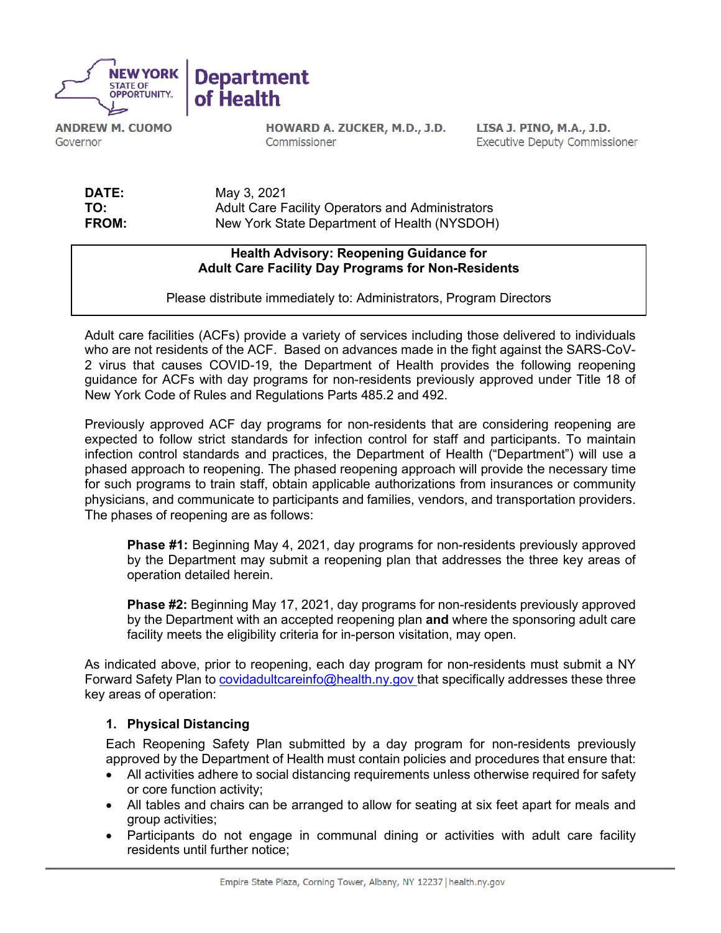

**ANDREW M. CUOMO** Governor

HOWARD A. ZUCKER, M.D., J.D. Commissioner

LISA J. PINO, M.A., J.D. **Executive Deputy Commissioner** 

**DATE:** May 3, 2021<br> **TO:** Adult Care F **TO:** Adult Care Facility Operators and Administrators **FROM:** New York State Department of Health (NYSDOH)

## **Health Advisory: Reopening Guidance for Adult Care Facility Day Programs for Non-Residents**

Please distribute immediately to: Administrators, Program Directors

Adult care facilities (ACFs) provide a variety of services including those delivered to individuals who are not residents of the ACF. Based on advances made in the fight against the SARS-CoV-2 virus that causes COVID-19, the Department of Health provides the following reopening guidance for ACFs with day programs for non-residents previously approved under Title 18 of New York Code of Rules and Regulations Parts 485.2 and 492.

Previously approved ACF day programs for non-residents that are considering reopening are expected to follow strict standards for infection control for staff and participants. To maintain infection control standards and practices, the Department of Health ("Department") will use a phased approach to reopening. The phased reopening approach will provide the necessary time for such programs to train staff, obtain applicable authorizations from insurances or community physicians, and communicate to participants and families, vendors, and transportation providers. The phases of reopening are as follows:

**Phase #1:** Beginning May 4, 2021, day programs for non-residents previously approved by the Department may submit a reopening plan that addresses the three key areas of operation detailed herein.

**Phase #2:** Beginning May 17, 2021, day programs for non-residents previously approved by the Department with an accepted reopening plan **and** where the sponsoring adult care facility meets the eligibility criteria for in-person visitation, may open.

As indicated above, prior to reopening, each day program for non-residents must submit a NY Forward Safety Plan to [covidadultcareinfo@health.ny.gov t](mailto:covidadultcareinfo@health.ny.gov)hat specifically addresses these three key areas of operation:

## **1. Physical Distancing**

Each Reopening Safety Plan submitted by a day program for non-residents previously approved by the Department of Health must contain policies and procedures that ensure that:

- All activities adhere to social distancing requirements unless otherwise required for safety or core function activity;
- All tables and chairs can be arranged to allow for seating at six feet apart for meals and group activities;
- Participants do not engage in communal dining or activities with adult care facility residents until further notice;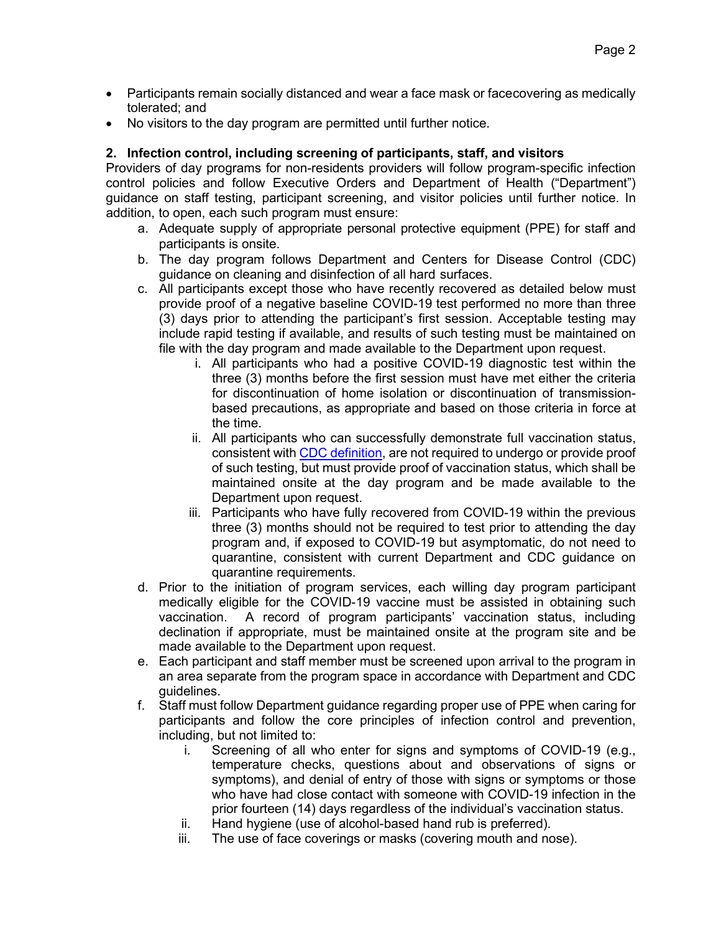- Participants remain socially distanced and wear a face mask or facecovering as medically tolerated; and
- No visitors to the day program are permitted until further notice.

## **2. Infection control, including screening of participants, staff, and visitors**

Providers of day programs for non-residents providers will follow program-specific infection control policies and follow Executive Orders and Department of Health ("Department") guidance on staff testing, participant screening, and visitor policies until further notice. In addition, to open, each such program must ensure:

- a. Adequate supply of appropriate personal protective equipment (PPE) for staff and participants is onsite.
- b. The day program follows Department and Centers for Disease Control (CDC) guidance on cleaning and disinfection of all hard surfaces.
- c. All participants except those who have recently recovered as detailed below must provide proof of a negative baseline COVID-19 test performed no more than three (3) days prior to attending the participant's first session. Acceptable testing may include rapid testing if available, and results of such testing must be maintained on file with the day program and made available to the Department upon request.
	- i. All participants who had a positive COVID-19 diagnostic test within the three (3) months before the first session must have met either the criteria for discontinuation of home isolation or discontinuation of transmissionbased precautions, as appropriate and based on those criteria in force at the time.
	- ii. All participants who can successfully demonstrate full vaccination status, consistent with [CDC definition,](https://www.cdc.gov/coronavirus/2019-ncov/vaccines/fully-vaccinated.html) are not required to undergo or provide proof of such testing, but must provide proof of vaccination status, which shall be maintained onsite at the day program and be made available to the Department upon request.
	- iii. Participants who have fully recovered from COVID-19 within the previous three (3) months should not be required to test prior to attending the day program and, if exposed to COVID-19 but asymptomatic, do not need to quarantine, consistent with current Department and CDC guidance on quarantine requirements.
- d. Prior to the initiation of program services, each willing day program participant medically eligible for the COVID-19 vaccine must be assisted in obtaining such vaccination. A record of program participants' vaccination status, including declination if appropriate, must be maintained onsite at the program site and be made available to the Department upon request.
- e. Each participant and staff member must be screened upon arrival to the program in an area separate from the program space in accordance with Department and CDC guidelines.
- f. Staff must follow Department guidance regarding proper use of PPE when caring for participants and follow the core principles of infection control and prevention, including, but not limited to:
	- i. Screening of all who enter for signs and symptoms of COVID-19 (e.g., temperature checks, questions about and observations of signs or symptoms), and denial of entry of those with signs or symptoms or those who have had close contact with someone with COVID-19 infection in the prior fourteen (14) days regardless of the individual's vaccination status.
	- ii. Hand hygiene (use of alcohol-based hand rub is preferred).
	- iii. The use of face coverings or masks (covering mouth and nose).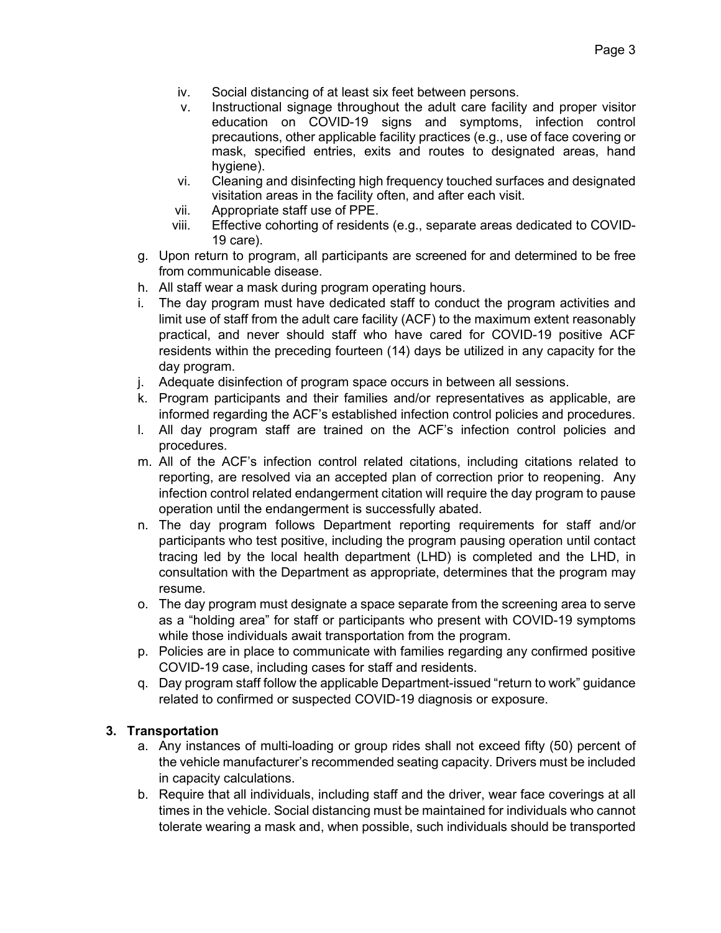- iv. Social distancing of at least six feet between persons.
- v. Instructional signage throughout the adult care facility and proper visitor education on COVID-19 signs and symptoms, infection control precautions, other applicable facility practices (e.g., use of face covering or mask, specified entries, exits and routes to designated areas, hand hygiene).
- vi. Cleaning and disinfecting high frequency touched surfaces and designated visitation areas in the facility often, and after each visit.
- vii. Appropriate staff use of PPE.
- viii. Effective cohorting of residents (e.g., separate areas dedicated to COVID-19 care).
- g. Upon return to program, all participants are screened for and determined to be free from communicable disease.
- h. All staff wear a mask during program operating hours.
- i. The day program must have dedicated staff to conduct the program activities and limit use of staff from the adult care facility (ACF) to the maximum extent reasonably practical, and never should staff who have cared for COVID-19 positive ACF residents within the preceding fourteen (14) days be utilized in any capacity for the day program.
- j. Adequate disinfection of program space occurs in between all sessions.
- k. Program participants and their families and/or representatives as applicable, are informed regarding the ACF's established infection control policies and procedures.
- l. All day program staff are trained on the ACF's infection control policies and procedures.
- m. All of the ACF's infection control related citations, including citations related to reporting, are resolved via an accepted plan of correction prior to reopening. Any infection control related endangerment citation will require the day program to pause operation until the endangerment is successfully abated.
- n. The day program follows Department reporting requirements for staff and/or participants who test positive, including the program pausing operation until contact tracing led by the local health department (LHD) is completed and the LHD, in consultation with the Department as appropriate, determines that the program may resume.
- o. The day program must designate a space separate from the screening area to serve as a "holding area" for staff or participants who present with COVID-19 symptoms while those individuals await transportation from the program.
- p. Policies are in place to communicate with families regarding any confirmed positive COVID-19 case, including cases for staff and residents.
- q. Day program staff follow the applicable Department-issued "return to work" guidance related to confirmed or suspected COVID-19 diagnosis or exposure.

## **3. Transportation**

- a. Any instances of multi-loading or group rides shall not exceed fifty (50) percent of the vehicle manufacturer's recommended seating capacity. Drivers must be included in capacity calculations.
- b. Require that all individuals, including staff and the driver, wear face coverings at all times in the vehicle. Social distancing must be maintained for individuals who cannot tolerate wearing a mask and, when possible, such individuals should be transported